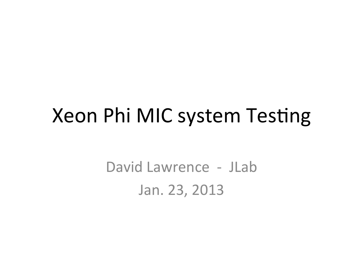### Xeon Phi MIC system Testing

David Lawrence - JLab Jan. 23, 2013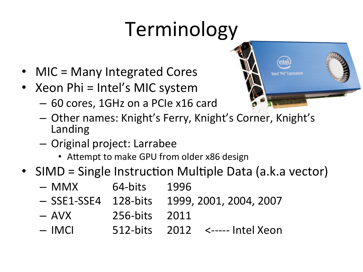# Terminology

- MIC = Many Integrated Cores
- Xeon Phi =  $\text{Intel's MIC system}$ 
	- 60 cores, 1GHz on a PCIe x16 card
	- $-$  Other names: Knight's Ferry, Knight's Corner, Knight's Landing
	- Original project: Larrabee
		- Attempt to make GPU from older x86 design
- SIMD = Single Instruction Multiple Data (a.k.a vector)
	- MMX 64-bits 1996 - SSE1-SSE4 128-bits 1999, 2001, 2004, 2007  $-$  AVX  $256$ -bits  $2011$  $-$  IMCI  $-$  512-bits 2012 <----- Intel Xeon

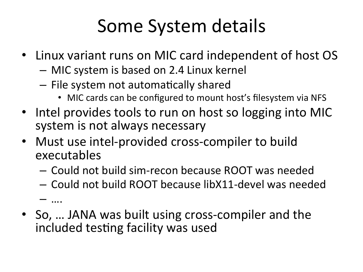### Some System details

- Linux variant runs on MIC card independent of host OS
	- $-$  MIC system is based on 2.4 Linux kernel
	- $-$  File system not automatically shared
		- MIC cards can be configured to mount host's filesystem via NFS
- Intel provides tools to run on host so logging into MIC system is not always necessary
- Must use intel-provided cross-compiler to build executables
	- Could not build sim-recon because ROOT was needed
	- $-$  Could not build ROOT because libX11-devel was needed

– …. 

• So, ... JANA was built using cross-compiler and the included testing facility was used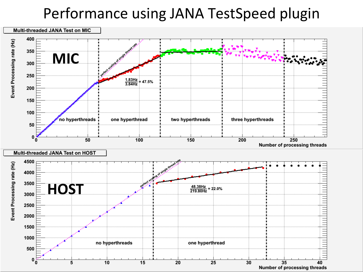#### Performance using JANA TestSpeed plugin

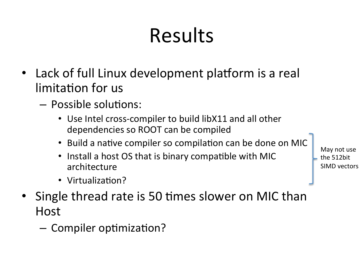# Results

- Lack of full Linux development platform is a real limitation for us
	- Possible solutions:
		- Use Intel cross-compiler to build libX11 and all other dependencies so ROOT can be compiled
		- Build a native compiler so compilation can be done on MIC
		- Install a host OS that is binary compatible with MIC architecture
		- Virtualization?
- Single thread rate is 50 times slower on MIC than Host
	- Compiler optimization?

May not use the 512hit SIMD vectors